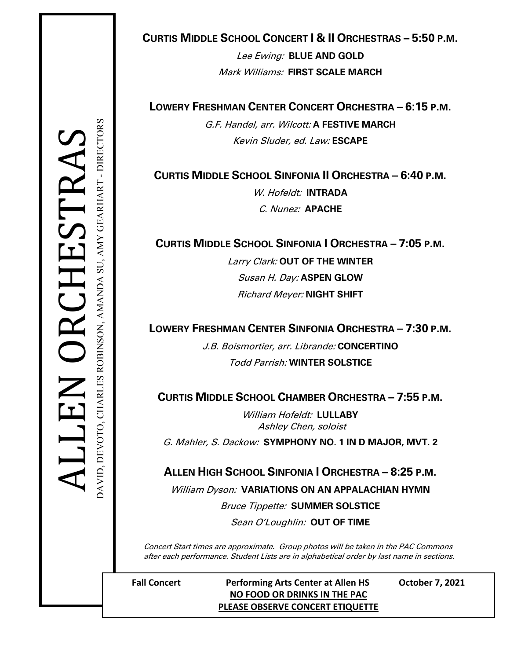# **CURTIS MIDDLE SCHOOL CONCERT I & II ORCHESTRAS – 5:50 P.M.**

Lee Ewing: **BLUE AND GOLD** Mark Williams: **FIRST SCALE MARCH**

**LOWERY FRESHMAN CENTER CONCERT ORCHESTRA – 6:15 P.M.**

G.F. Handel, arr. Wilcott: **A FESTIVE MARCH** Kevin Sluder, ed. Law: **ESCAPE**

**CURTIS MIDDLE SCHOOL SINFONIA II ORCHESTRA – 6:40 P.M.**

W. Hofeldt: **INTRADA** C. Nunez: **APACHE**

**CURTIS MIDDLE SCHOOL SINFONIA I ORCHESTRA – 7:05 P.M.**

Larry Clark: **OUT OF THE WINTER** Susan H. Day: **ASPEN GLOW** Richard Meyer: **NIGHT SHIFT**

**LOWERY FRESHMAN CENTER SINFONIA ORCHESTRA – 7:30 P.M.**

J.B. Boismortier, arr. Librande: **CONCERTINO** Todd Parrish: **WINTER SOLSTICE**

**CURTIS MIDDLE SCHOOL CHAMBER ORCHESTRA – 7:55 P.M.**

William Hofeldt: **LULLABY** Ashley Chen, soloist

G. Mahler, S. Dackow: **SYMPHONY NO. 1 IN D MAJOR, MVT. 2**

**ALLEN HIGH SCHOOL SINFONIA I ORCHESTRA – 8:25 P.M.**

William Dyson: **VARIATIONS ON AN APPALACHIAN HYMN**

Bruce Tippette: **SUMMER SOLSTICE**

Sean O'Loughlin: **OUT OF TIME**

 Concert Start times are approximate. Group photos will be taken in the PAC Commons after each performance. Student Lists are in alphabetical order by last name in sections.

**Fall Concert Performing Arts Center at Allen HS October 7, 2021 NO FOOD OR DRINKS IN THE PAC PLEASE OBSERVE CONCERT ETIQUETTE**

DAVID, DEVOTO, CHARLES ROBINSON, AMANDA SU, AMY GEARHART - DIRECTORS